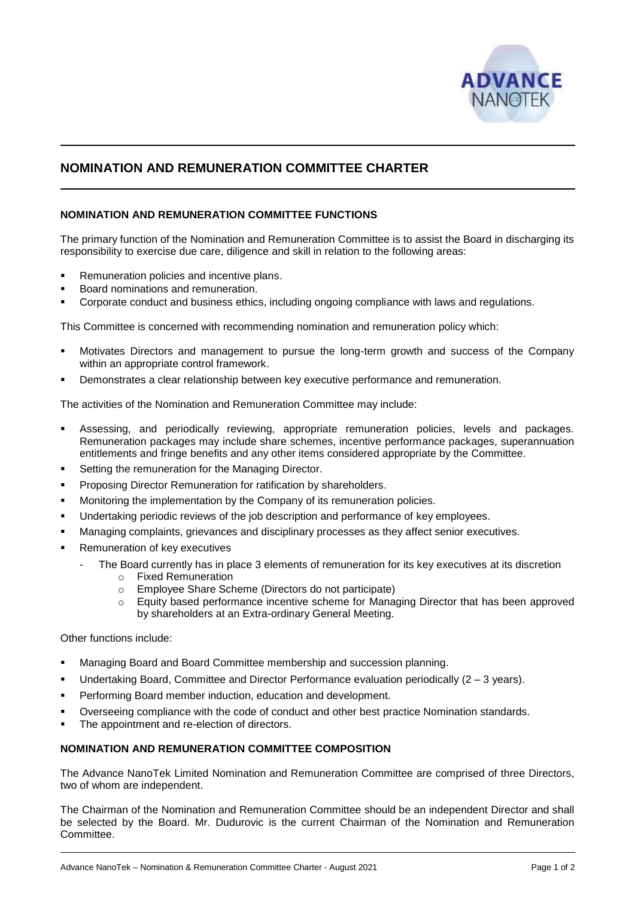

# **NOMINATION AND REMUNERATION COMMITTEE CHARTER**

## **NOMINATION AND REMUNERATION COMMITTEE FUNCTIONS**

The primary function of the Nomination and Remuneration Committee is to assist the Board in discharging its responsibility to exercise due care, diligence and skill in relation to the following areas:

- Remuneration policies and incentive plans.
- Board nominations and remuneration.
- Corporate conduct and business ethics, including ongoing compliance with laws and regulations.

This Committee is concerned with recommending nomination and remuneration policy which:

- Motivates Directors and management to pursue the long-term growth and success of the Company within an appropriate control framework.
- Demonstrates a clear relationship between key executive performance and remuneration.

The activities of the Nomination and Remuneration Committee may include:

- Assessing, and periodically reviewing, appropriate remuneration policies, levels and packages. Remuneration packages may include share schemes, incentive performance packages, superannuation entitlements and fringe benefits and any other items considered appropriate by the Committee.
- Setting the remuneration for the Managing Director.
- Proposing Director Remuneration for ratification by shareholders.
- **■** Monitoring the implementation by the Company of its remuneration policies.
- **■** Undertaking periodic reviews of the job description and performance of key employees.
- Managing complaints, grievances and disciplinary processes as they affect senior executives.
- Remuneration of key executives
	- The Board currently has in place 3 elements of remuneration for its key executives at its discretion
		- o Fixed Remuneration
		- o Employee Share Scheme (Directors do not participate)
		- o Equity based performance incentive scheme for Managing Director that has been approved by shareholders at an Extra-ordinary General Meeting.

Other functions include:

- Managing Board and Board Committee membership and succession planning.
- **•** Undertaking Board, Committee and Director Performance evaluation periodically  $(2 3 \text{ years})$ .
- Performing Board member induction, education and development.
- Overseeing compliance with the code of conduct and other best practice Nomination standards.
- The appointment and re-election of directors.

## **NOMINATION AND REMUNERATION COMMITTEE COMPOSITION**

The Advance NanoTek Limited Nomination and Remuneration Committee are comprised of three Directors, two of whom are independent.

The Chairman of the Nomination and Remuneration Committee should be an independent Director and shall be selected by the Board. Mr. Dudurovic is the current Chairman of the Nomination and Remuneration Committee.